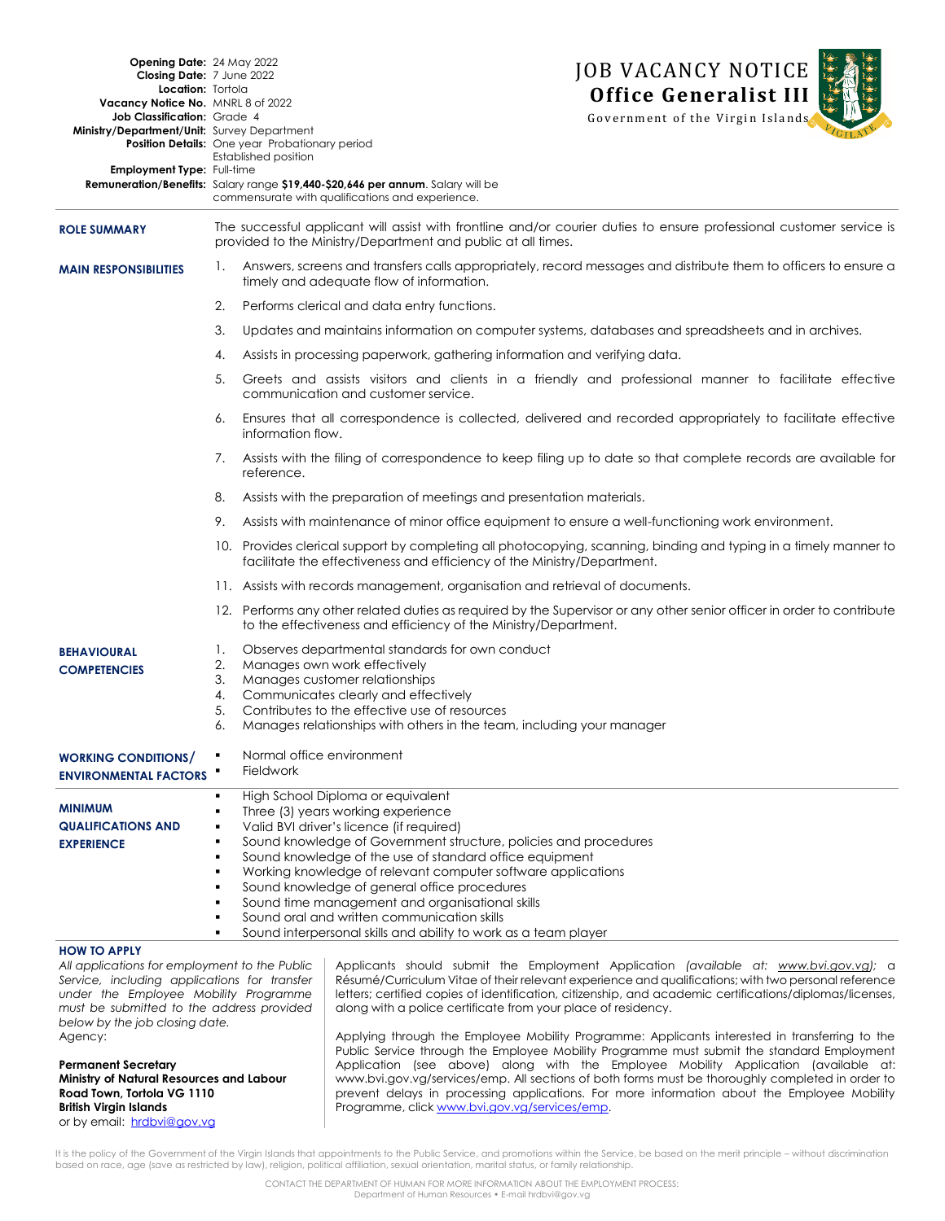| <b>Opening Date: 24 May 2022</b><br>Closing Date: 7 June 2022<br>Location: Tortola<br>Vacancy Notice No. MNRL 8 of 2022<br>Job Classification: Grade 4<br>Ministry/Department/Unit: Survey Department<br>Employment Type: Full-time |                                                                                                                                                                                      | <b>JOB VACANCY NOTICE</b><br><b>Office Generalist III</b><br>Government of the Virgin Islands<br><b>Position Details:</b> One year Probationary period<br><b>Established position</b><br>Remuneration/Benefits: Salary range \$19,440-\$20,646 per annum. Salary will be<br>commensurate with qualifications and experience.                                                                                                                                         |
|-------------------------------------------------------------------------------------------------------------------------------------------------------------------------------------------------------------------------------------|--------------------------------------------------------------------------------------------------------------------------------------------------------------------------------------|----------------------------------------------------------------------------------------------------------------------------------------------------------------------------------------------------------------------------------------------------------------------------------------------------------------------------------------------------------------------------------------------------------------------------------------------------------------------|
| <b>ROLE SUMMARY</b>                                                                                                                                                                                                                 | The successful applicant will assist with frontline and/or courier duties to ensure professional customer service is<br>provided to the Ministry/Department and public at all times. |                                                                                                                                                                                                                                                                                                                                                                                                                                                                      |
| <b>MAIN RESPONSIBILITIES</b>                                                                                                                                                                                                        | 1.                                                                                                                                                                                   | Answers, screens and transfers calls appropriately, record messages and distribute them to officers to ensure a<br>timely and adequate flow of information.                                                                                                                                                                                                                                                                                                          |
|                                                                                                                                                                                                                                     | 2.                                                                                                                                                                                   | Performs clerical and data entry functions.                                                                                                                                                                                                                                                                                                                                                                                                                          |
|                                                                                                                                                                                                                                     | 3.                                                                                                                                                                                   | Updates and maintains information on computer systems, databases and spreadsheets and in archives.                                                                                                                                                                                                                                                                                                                                                                   |
|                                                                                                                                                                                                                                     | 4.                                                                                                                                                                                   | Assists in processing paperwork, gathering information and verifying data.                                                                                                                                                                                                                                                                                                                                                                                           |
|                                                                                                                                                                                                                                     | 5.                                                                                                                                                                                   | Greets and assists visitors and clients in a friendly and professional manner to facilitate effective<br>communication and customer service.                                                                                                                                                                                                                                                                                                                         |
|                                                                                                                                                                                                                                     | 6.                                                                                                                                                                                   | Ensures that all correspondence is collected, delivered and recorded appropriately to facilitate effective<br>information flow.                                                                                                                                                                                                                                                                                                                                      |
|                                                                                                                                                                                                                                     | 7.                                                                                                                                                                                   | Assists with the filing of correspondence to keep filing up to date so that complete records are available for<br>reference.                                                                                                                                                                                                                                                                                                                                         |
|                                                                                                                                                                                                                                     | 8.                                                                                                                                                                                   | Assists with the preparation of meetings and presentation materials.                                                                                                                                                                                                                                                                                                                                                                                                 |
|                                                                                                                                                                                                                                     | 9.                                                                                                                                                                                   | Assists with maintenance of minor office equipment to ensure a well-functioning work environment.                                                                                                                                                                                                                                                                                                                                                                    |
|                                                                                                                                                                                                                                     |                                                                                                                                                                                      | 10. Provides clerical support by completing all photocopying, scanning, binding and typing in a timely manner to<br>facilitate the effectiveness and efficiency of the Ministry/Department.                                                                                                                                                                                                                                                                          |
|                                                                                                                                                                                                                                     |                                                                                                                                                                                      | 11. Assists with records management, organisation and retrieval of documents.                                                                                                                                                                                                                                                                                                                                                                                        |
|                                                                                                                                                                                                                                     |                                                                                                                                                                                      | 12. Performs any other related duties as required by the Supervisor or any other senior officer in order to contribute<br>to the effectiveness and efficiency of the Ministry/Department.                                                                                                                                                                                                                                                                            |
| <b>BEHAVIOURAL</b><br><b>COMPETENCIES</b>                                                                                                                                                                                           | 1.<br>2.<br>3.<br>4.<br>5.<br>6.                                                                                                                                                     | Observes departmental standards for own conduct<br>Manages own work effectively<br>Manages customer relationships<br>Communicates clearly and effectively<br>Contributes to the effective use of resources<br>Manages relationships with others in the team, including your manager                                                                                                                                                                                  |
| <b>WORKING CONDITIONS/</b><br><b>ENVIRONMENTAL FACTORS</b>                                                                                                                                                                          |                                                                                                                                                                                      | Normal office environment<br><b>Fieldwork</b>                                                                                                                                                                                                                                                                                                                                                                                                                        |
| <b>MINIMUM</b><br><b>QUALIFICATIONS AND</b><br><b>EXPERIENCE</b>                                                                                                                                                                    | ٠<br>٠<br>٠<br>$\blacksquare$<br>$\blacksquare$                                                                                                                                      | High School Diploma or equivalent<br>Three (3) years working experience<br>Valid BVI driver's licence (if required)<br>Sound knowledge of Government structure, policies and procedures<br>Sound knowledge of the use of standard office equipment<br>Working knowledge of relevant computer software applications<br>Sound knowledge of general office procedures<br>Sound time management and organisational skills<br>Sound oral and written communication skills |
|                                                                                                                                                                                                                                     | ٠                                                                                                                                                                                    | Sound interpersonal skills and ability to work as a team player                                                                                                                                                                                                                                                                                                                                                                                                      |

## **HOW TO APPLY**

*All applications for employment to the Public Service, including applications for transfer under the Employee Mobility Programme must be submitted to the address provided below by the job closing date.* Agency:

**Permanent Secretary Ministry of Natural Resources and Labour Road Town, Tortola VG 1110 British Virgin Islands**  or by email: [hrdbvi@gov.vg](mailto:hrdbvi@gov.vg)

Applicants should submit the Employment Application *(available at: [www.bvi.gov.vg\)](http://www.bvi.gov.vg/sites/default/files/Employment%20Application%20Form.pdf);* a Résumé/Curriculum Vitae of their relevant experience and qualifications; with two personal reference letters; certified copies of identification, citizenship, and academic certifications/diplomas/licenses, along with a police certificate from your place of residency.

Applying through the Employee Mobility Programme: Applicants interested in transferring to the Public Service through the Employee Mobility Programme must submit the standard Employment Application (see above) along with the Employee Mobility Application (available at: www.bvi.gov.vg/services/emp. All sections of both forms must be thoroughly completed in order to prevent delays in processing applications. For more information about the Employee Mobility Programme, clic[k www.bvi.gov.vg/services/emp.](file://///isu9000/hr$/Work/VACANCY%20NOTICES/2017/PSC/www.bvi.gov.vg/services/emp)

It is the policy of the Government of the Virgin Islands that appointments to the Public Service, and promotions within the Service, be based on the merit principle - without discrimination based on race, age (save as restricted by law), religion, political affiliation, sexual orientation, marital status, or family relationship.